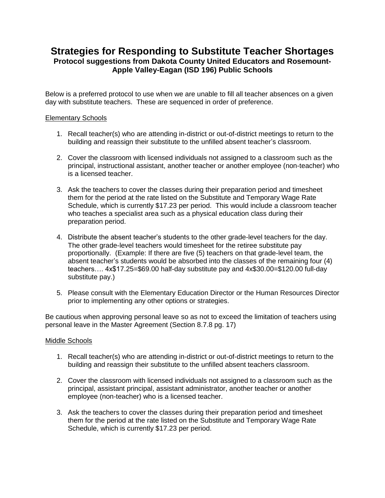## **Strategies for Responding to Substitute Teacher Shortages Protocol suggestions from Dakota County United Educators and Rosemount-Apple Valley-Eagan (ISD 196) Public Schools**

Below is a preferred protocol to use when we are unable to fill all teacher absences on a given day with substitute teachers. These are sequenced in order of preference.

## Elementary Schools

- 1. Recall teacher(s) who are attending in-district or out-of-district meetings to return to the building and reassign their substitute to the unfilled absent teacher's classroom.
- 2. Cover the classroom with licensed individuals not assigned to a classroom such as the principal, instructional assistant, another teacher or another employee (non-teacher) who is a licensed teacher.
- 3. Ask the teachers to cover the classes during their preparation period and timesheet them for the period at the rate listed on the Substitute and Temporary Wage Rate Schedule, which is currently \$17.23 per period. This would include a classroom teacher who teaches a specialist area such as a physical education class during their preparation period.
- 4. Distribute the absent teacher's students to the other grade-level teachers for the day. The other grade-level teachers would timesheet for the retiree substitute pay proportionally. (Example: If there are five (5) teachers on that grade-level team, the absent teacher's students would be absorbed into the classes of the remaining four (4) teachers…. 4x\$17.25=\$69.00 half-day substitute pay and 4x\$30.00=\$120.00 full-day substitute pay.)
- 5. Please consult with the Elementary Education Director or the Human Resources Director prior to implementing any other options or strategies.

Be cautious when approving personal leave so as not to exceed the limitation of teachers using personal leave in the Master Agreement (Section 8.7.8 pg. 17)

## Middle Schools

- 1. Recall teacher(s) who are attending in-district or out-of-district meetings to return to the building and reassign their substitute to the unfilled absent teachers classroom.
- 2. Cover the classroom with licensed individuals not assigned to a classroom such as the principal, assistant principal, assistant administrator, another teacher or another employee (non-teacher) who is a licensed teacher.
- 3. Ask the teachers to cover the classes during their preparation period and timesheet them for the period at the rate listed on the Substitute and Temporary Wage Rate Schedule, which is currently \$17.23 per period.